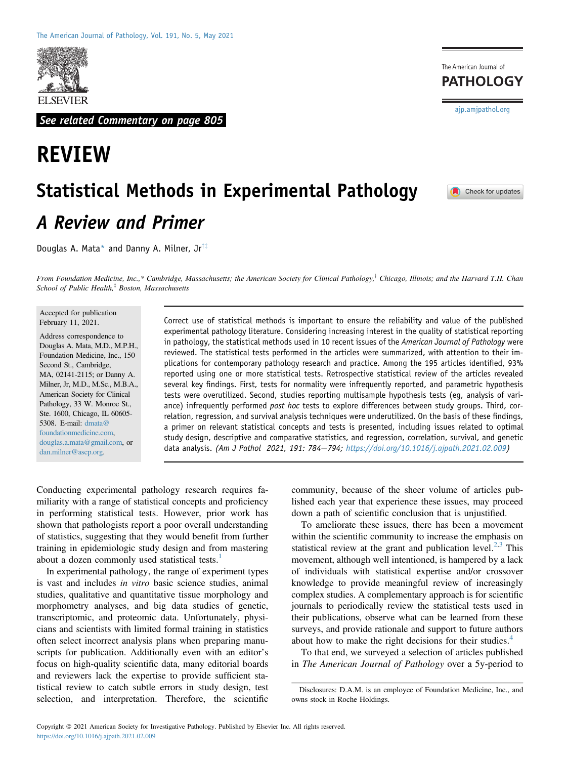

See related Commentary on page 805

# REVIEW

The American Journal of **PATHOLOGY** 

[ajp.amjpathol.org](http://ajp.amjpathol.org)

Check for updates

# Statistical Methods in Experimental Pathology A Review and Primer

Douglas A. Mata\* and Danny A. Milner,  $Jr^{\dagger\ddagger}$ 

From Foundation Medicine, Inc.,\* Cambridge, Massachusetts; the American Society for Clinical Pathology,<sup>†</sup> Chicago, Illinois; and the Harvard T.H. Chan School of Public Health, $\frac{4}{3}$  Boston, Massachusetts

Accepted for publication February 11, 2021.

Address correspondence to Douglas A. Mata, M.D., M.P.H., Foundation Medicine, Inc., 150 Second St., Cambridge, MA, 02141-2115; or Danny A. Milner, Jr, M.D., M.Sc., M.B.A., American Society for Clinical Pathology, 33 W. Monroe St., Ste. 1600, Chicago, IL 60605- 5308. E-mail: [dmata@](mailto:dmata@foundationmedicine.com) [foundationmedicine.com,](mailto:dmata@foundationmedicine.com) [douglas.a.mata@gmail.com,](mailto:douglas.a.mata@gmail.com) or [dan.milner@ascp.org](mailto:dan.milner@ascp.org).

Correct use of statistical methods is important to ensure the reliability and value of the published experimental pathology literature. Considering increasing interest in the quality of statistical reporting in pathology, the statistical methods used in 10 recent issues of the American Journal of Pathology were reviewed. The statistical tests performed in the articles were summarized, with attention to their implications for contemporary pathology research and practice. Among the 195 articles identified, 93% reported using one or more statistical tests. Retrospective statistical review of the articles revealed several key findings. First, tests for normality were infrequently reported, and parametric hypothesis tests were overutilized. Second, studies reporting multisample hypothesis tests (eg, analysis of variance) infrequently performed post hoc tests to explore differences between study groups. Third, correlation, regression, and survival analysis techniques were underutilized. On the basis of these findings, a primer on relevant statistical concepts and tests is presented, including issues related to optimal study design, descriptive and comparative statistics, and regression, correlation, survival, and genetic data analysis. (Am J Pathol 2021, 191: 784-794; [https://doi.org/10.1016/j.ajpath.2021.02.009\)](https://doi.org/10.1016/j.ajpath.2021.02.009)

Conducting experimental pathology research requires familiarity with a range of statistical concepts and proficiency in performing statistical tests. However, prior work has shown that pathologists report a poor overall understanding of statistics, suggesting that they would benefit from further training in epidemiologic study design and from mastering about a dozen commonly used statistical tests.<sup>[1](#page-9-0)</sup>

In experimental pathology, the range of experiment types is vast and includes in vitro basic science studies, animal studies, qualitative and quantitative tissue morphology and morphometry analyses, and big data studies of genetic, transcriptomic, and proteomic data. Unfortunately, physicians and scientists with limited formal training in statistics often select incorrect analysis plans when preparing manuscripts for publication. Additionally even with an editor's focus on high-quality scientific data, many editorial boards and reviewers lack the expertise to provide sufficient statistical review to catch subtle errors in study design, test selection, and interpretation. Therefore, the scientific

community, because of the sheer volume of articles published each year that experience these issues, may proceed down a path of scientific conclusion that is unjustified.

To ameliorate these issues, there has been a movement within the scientific community to increase the emphasis on statistical review at the grant and publication level.<sup>[2](#page-9-1)[,3](#page-9-2)</sup> This movement, although well intentioned, is hampered by a lack of individuals with statistical expertise and/or crossover knowledge to provide meaningful review of increasingly complex studies. A complementary approach is for scientific journals to periodically review the statistical tests used in their publications, observe what can be learned from these surveys, and provide rationale and support to future authors about how to make the right decisions for their studies.<sup>[4](#page-9-3)</sup>

To that end, we surveyed a selection of articles published in The American Journal of Pathology over a 5y-period to

Disclosures: D.A.M. is an employee of Foundation Medicine, Inc., and owns stock in Roche Holdings.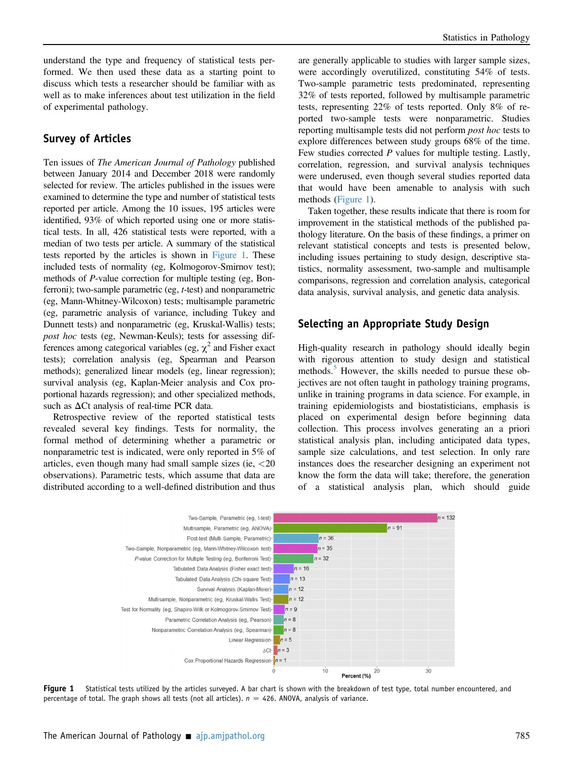understand the type and frequency of statistical tests performed. We then used these data as a starting point to discuss which tests a researcher should be familiar with as well as to make inferences about test utilization in the field of experimental pathology.

#### Survey of Articles

Ten issues of The American Journal of Pathology published between January 2014 and December 2018 were randomly selected for review. The articles published in the issues were examined to determine the type and number of statistical tests reported per article. Among the 10 issues, 195 articles were identified, 93% of which reported using one or more statistical tests. In all, 426 statistical tests were reported, with a median of two tests per article. A summary of the statistical tests reported by the articles is shown in [Figure 1.](#page-1-0) These included tests of normality (eg, Kolmogorov-Smirnov test); methods of P-value correction for multiple testing (eg, Bonferroni); two-sample parametric (eg, *t*-test) and nonparametric (eg, Mann-Whitney-Wilcoxon) tests; multisample parametric (eg, parametric analysis of variance, including Tukey and Dunnett tests) and nonparametric (eg, Kruskal-Wallis) tests; post hoc tests (eg, Newman-Keuls); tests for assessing differences among categorical variables (eg,  $\chi^2$  and Fisher exact tests); correlation analysis (eg, Spearman and Pearson methods); generalized linear models (eg, linear regression); survival analysis (eg, Kaplan-Meier analysis and Cox proportional hazards regression); and other specialized methods, such as  $\Delta$ Ct analysis of real-time PCR data.

Retrospective review of the reported statistical tests revealed several key findings. Tests for normality, the formal method of determining whether a parametric or nonparametric test is indicated, were only reported in 5% of articles, even though many had small sample sizes (ie, <20 observations). Parametric tests, which assume that data are distributed according to a well-defined distribution and thus

are generally applicable to studies with larger sample sizes, were accordingly overutilized, constituting 54% of tests. Two-sample parametric tests predominated, representing 32% of tests reported, followed by multisample parametric tests, representing 22% of tests reported. Only 8% of reported two-sample tests were nonparametric. Studies reporting multisample tests did not perform *post hoc* tests to explore differences between study groups 68% of the time. Few studies corrected P values for multiple testing. Lastly, correlation, regression, and survival analysis techniques were underused, even though several studies reported data that would have been amenable to analysis with such methods ([Figure 1](#page-1-0)).

Taken together, these results indicate that there is room for improvement in the statistical methods of the published pathology literature. On the basis of these findings, a primer on relevant statistical concepts and tests is presented below, including issues pertaining to study design, descriptive statistics, normality assessment, two-sample and multisample comparisons, regression and correlation analysis, categorical data analysis, survival analysis, and genetic data analysis.

#### Selecting an Appropriate Study Design

High-quality research in pathology should ideally begin with rigorous attention to study design and statistical methods.<sup>[5](#page-9-4)</sup> However, the skills needed to pursue these objectives are not often taught in pathology training programs, unlike in training programs in data science. For example, in training epidemiologists and biostatisticians, emphasis is placed on experimental design before beginning data collection. This process involves generating an a priori statistical analysis plan, including anticipated data types, sample size calculations, and test selection. In only rare instances does the researcher designing an experiment not know the form the data will take; therefore, the generation of a statistical analysis plan, which should guide

<span id="page-1-0"></span>

Figure 1 Statistical tests utilized by the articles surveyed. A bar chart is shown with the breakdown of test type, total number encountered, and percentage of total. The graph shows all tests (not all articles).  $n = 426$ . ANOVA, analysis of variance.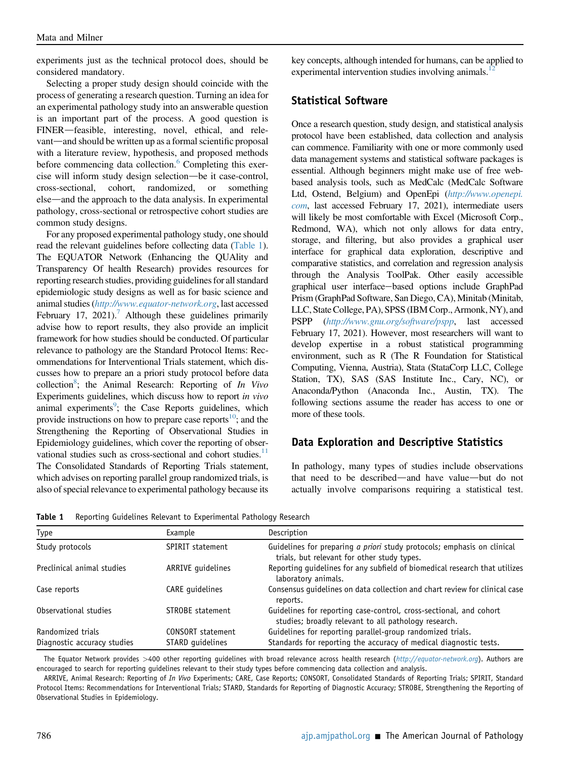experiments just as the technical protocol does, should be considered mandatory.

Selecting a proper study design should coincide with the process of generating a research question. Turning an idea for an experimental pathology study into an answerable question is an important part of the process. A good question is FINER-feasible, interesting, novel, ethical, and relevant—and should be written up as a formal scientific proposal with a literature review, hypothesis, and proposed methods before commencing data collection.<sup>[6](#page-9-5)</sup> Completing this exercise will inform study design selection—be it case-control, cross-sectional, cohort, randomized, or something else—and the approach to the data analysis. In experimental pathology, cross-sectional or retrospective cohort studies are common study designs.

For any proposed experimental pathology study, one should read the relevant guidelines before collecting data [\(Table 1](#page-2-0)). The EQUATOR Network (Enhancing the QUAlity and Transparency Of health Research) provides resources for reporting research studies, providing guidelines for all standard epidemiologic study designs as well as for basic science and animal studies (<http://www.equator-network.org>, last accessed February 17, 2021).<sup>7</sup> Although these guidelines primarily advise how to report results, they also provide an implicit framework for how studies should be conducted. Of particular relevance to pathology are the Standard Protocol Items: Recommendations for Interventional Trials statement, which discusses how to prepare an a priori study protocol before data collection<sup>[8](#page-9-7)</sup>; the Animal Research: Reporting of  $In$  Vivo Experiments guidelines, which discuss how to report in vivo animal experiments<sup>[9](#page-9-8)</sup>; the Case Reports guidelines, which provide instructions on how to prepare case reports<sup>10</sup>; and the Strengthening the Reporting of Observational Studies in Epidemiology guidelines, which cover the reporting of observational studies such as cross-sectional and cohort studies. $11$ The Consolidated Standards of Reporting Trials statement, which advises on reporting parallel group randomized trials, is also of special relevance to experimental pathology because its key concepts, although intended for humans, can be applied to experimental intervention studies involving animals.<sup>1</sup>

#### Statistical Software

Once a research question, study design, and statistical analysis protocol have been established, data collection and analysis can commence. Familiarity with one or more commonly used data management systems and statistical software packages is essential. Although beginners might make use of free webbased analysis tools, such as MedCalc (MedCalc Software Ltd, Ostend, Belgium) and OpenEpi ([http://www.openepi.](http://www.openepi.com) [com](http://www.openepi.com), last accessed February 17, 2021), intermediate users will likely be most comfortable with Excel (Microsoft Corp., Redmond, WA), which not only allows for data entry, storage, and filtering, but also provides a graphical user interface for graphical data exploration, descriptive and comparative statistics, and correlation and regression analysis through the Analysis ToolPak. Other easily accessible graphical user interface-based options include GraphPad Prism (GraphPad Software, San Diego, CA), Minitab (Minitab, LLC, State College, PA), SPSS (IBM Corp., Armonk, NY), and PSPP (<http://www.gnu.org/software/pspp>, last accessed February 17, 2021). However, most researchers will want to develop expertise in a robust statistical programming environment, such as R (The R Foundation for Statistical Computing, Vienna, Austria), Stata (StataCorp LLC, College Station, TX), SAS (SAS Institute Inc., Cary, NC), or Anaconda/Python (Anaconda Inc., Austin, TX). The following sections assume the reader has access to one or more of these tools.

#### Data Exploration and Descriptive Statistics

In pathology, many types of studies include observations that need to be described—and have value—but do not actually involve comparisons requiring a statistical test.

<span id="page-2-0"></span>Table 1 Reporting Guidelines Relevant to Experimental Pathology Research

| Type                        | Example                 | Description                                                                                                                |
|-----------------------------|-------------------------|----------------------------------------------------------------------------------------------------------------------------|
| Study protocols             | <b>SPIRIT statement</b> | Guidelines for preparing a priori study protocols; emphasis on clinical<br>trials, but relevant for other study types.     |
| Preclinical animal studies  | ARRIVE guidelines       | Reporting guidelines for any subfield of biomedical research that utilizes<br>laboratory animals.                          |
| Case reports                | CARE guidelines         | Consensus guidelines on data collection and chart review for clinical case<br>reports.                                     |
| Observational studies       | STROBE statement        | Guidelines for reporting case-control, cross-sectional, and cohort<br>studies; broadly relevant to all pathology research. |
| Randomized trials           | CONSORT statement       | Guidelines for reporting parallel-group randomized trials.                                                                 |
| Diagnostic accuracy studies | STARD guidelines        | Standards for reporting the accuracy of medical diagnostic tests.                                                          |

The Equator Network provides >400 other reporting guidelines with broad relevance across health research (<http://equator-network.org>). Authors are encouraged to search for reporting guidelines relevant to their study types before commencing data collection and analysis.

ARRIVE, Animal Research: Reporting of In Vivo Experiments; CARE, Case Reports; CONSORT, Consolidated Standards of Reporting Trials; SPIRIT, Standard Protocol Items: Recommendations for Interventional Trials; STARD, Standards for Reporting of Diagnostic Accuracy; STROBE, Strengthening the Reporting of Observational Studies in Epidemiology.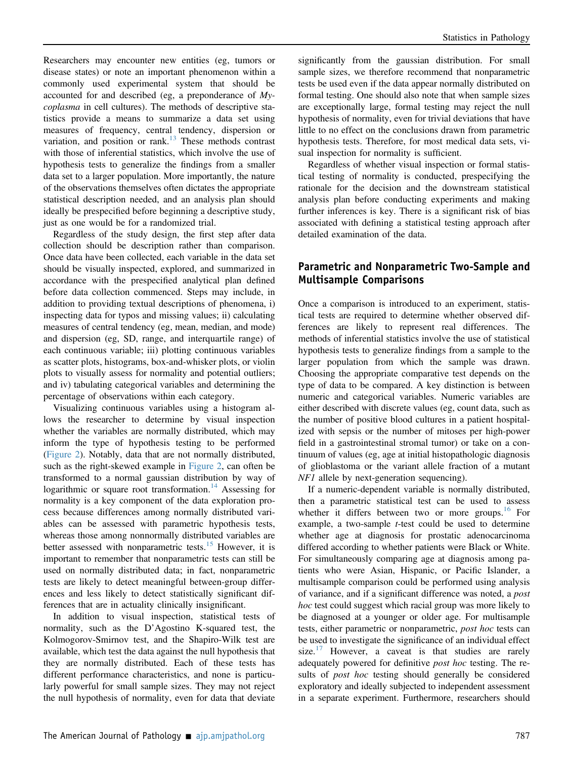Researchers may encounter new entities (eg, tumors or disease states) or note an important phenomenon within a commonly used experimental system that should be accounted for and described (eg, a preponderance of Mycoplasma in cell cultures). The methods of descriptive statistics provide a means to summarize a data set using measures of frequency, central tendency, dispersion or variation, and position or rank.<sup>[13](#page-9-12)</sup> These methods contrast with those of inferential statistics, which involve the use of hypothesis tests to generalize the findings from a smaller data set to a larger population. More importantly, the nature of the observations themselves often dictates the appropriate statistical description needed, and an analysis plan should ideally be prespecified before beginning a descriptive study, just as one would be for a randomized trial.

Regardless of the study design, the first step after data collection should be description rather than comparison. Once data have been collected, each variable in the data set should be visually inspected, explored, and summarized in accordance with the prespecified analytical plan defined before data collection commenced. Steps may include, in addition to providing textual descriptions of phenomena, i) inspecting data for typos and missing values; ii) calculating measures of central tendency (eg, mean, median, and mode) and dispersion (eg, SD, range, and interquartile range) of each continuous variable; iii) plotting continuous variables as scatter plots, histograms, box-and-whisker plots, or violin plots to visually assess for normality and potential outliers; and iv) tabulating categorical variables and determining the percentage of observations within each category.

Visualizing continuous variables using a histogram allows the researcher to determine by visual inspection whether the variables are normally distributed, which may inform the type of hypothesis testing to be performed [\(Figure 2](#page-4-0)). Notably, data that are not normally distributed, such as the right-skewed example in [Figure 2,](#page-4-0) can often be transformed to a normal gaussian distribution by way of logarithmic or square root transformation.<sup>[14](#page-9-13)</sup> Assessing for normality is a key component of the data exploration process because differences among normally distributed variables can be assessed with parametric hypothesis tests, whereas those among nonnormally distributed variables are better assessed with nonparametric tests.<sup>[15](#page-9-14)</sup> However, it is important to remember that nonparametric tests can still be used on normally distributed data; in fact, nonparametric tests are likely to detect meaningful between-group differences and less likely to detect statistically significant differences that are in actuality clinically insignificant.

In addition to visual inspection, statistical tests of normality, such as the D'Agostino K-squared test, the Kolmogorov-Smirnov test, and the Shapiro-Wilk test are available, which test the data against the null hypothesis that they are normally distributed. Each of these tests has different performance characteristics, and none is particularly powerful for small sample sizes. They may not reject the null hypothesis of normality, even for data that deviate

significantly from the gaussian distribution. For small sample sizes, we therefore recommend that nonparametric tests be used even if the data appear normally distributed on formal testing. One should also note that when sample sizes are exceptionally large, formal testing may reject the null hypothesis of normality, even for trivial deviations that have little to no effect on the conclusions drawn from parametric hypothesis tests. Therefore, for most medical data sets, visual inspection for normality is sufficient.

Regardless of whether visual inspection or formal statistical testing of normality is conducted, prespecifying the rationale for the decision and the downstream statistical analysis plan before conducting experiments and making further inferences is key. There is a significant risk of bias associated with defining a statistical testing approach after detailed examination of the data.

### Parametric and Nonparametric Two-Sample and Multisample Comparisons

Once a comparison is introduced to an experiment, statistical tests are required to determine whether observed differences are likely to represent real differences. The methods of inferential statistics involve the use of statistical hypothesis tests to generalize findings from a sample to the larger population from which the sample was drawn. Choosing the appropriate comparative test depends on the type of data to be compared. A key distinction is between numeric and categorical variables. Numeric variables are either described with discrete values (eg, count data, such as the number of positive blood cultures in a patient hospitalized with sepsis or the number of mitoses per high-power field in a gastrointestinal stromal tumor) or take on a continuum of values (eg, age at initial histopathologic diagnosis of glioblastoma or the variant allele fraction of a mutant NF1 allele by next-generation sequencing).

If a numeric-dependent variable is normally distributed, then a parametric statistical test can be used to assess whether it differs between two or more groups. $16$  For example, a two-sample *t*-test could be used to determine whether age at diagnosis for prostatic adenocarcinoma differed according to whether patients were Black or White. For simultaneously comparing age at diagnosis among patients who were Asian, Hispanic, or Pacific Islander, a multisample comparison could be performed using analysis of variance, and if a significant difference was noted, a *post* hoc test could suggest which racial group was more likely to be diagnosed at a younger or older age. For multisample tests, either parametric or nonparametric, *post hoc* tests can be used to investigate the significance of an individual effect size.<sup>[17](#page-9-16)</sup> However, a caveat is that studies are rarely adequately powered for definitive *post hoc* testing. The results of *post hoc* testing should generally be considered exploratory and ideally subjected to independent assessment in a separate experiment. Furthermore, researchers should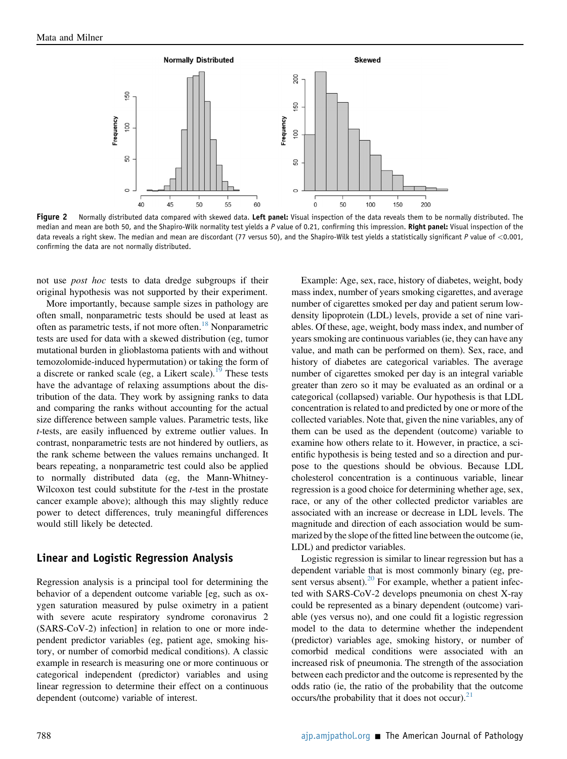<span id="page-4-0"></span>

Figure 2 Normally distributed data compared with skewed data. Left panel: Visual inspection of the data reveals them to be normally distributed. The median and mean are both 50, and the Shapiro-Wilk normality test yields a P value of 0.21, confirming this impression. Right panel: Visual inspection of the data reveals a right skew. The median and mean are discordant (77 versus 50), and the Shapiro-Wilk test yields a statistically significant P value of <0.001, confirming the data are not normally distributed.

not use post hoc tests to data dredge subgroups if their original hypothesis was not supported by their experiment.

More importantly, because sample sizes in pathology are often small, nonparametric tests should be used at least as often as parametric tests, if not more often.[18](#page-9-17) Nonparametric tests are used for data with a skewed distribution (eg, tumor mutational burden in glioblastoma patients with and without temozolomide-induced hypermutation) or taking the form of a discrete or ranked scale (eg, a Likert scale).<sup>[19](#page-9-18)</sup> These tests have the advantage of relaxing assumptions about the distribution of the data. They work by assigning ranks to data and comparing the ranks without accounting for the actual size difference between sample values. Parametric tests, like t-tests, are easily influenced by extreme outlier values. In contrast, nonparametric tests are not hindered by outliers, as the rank scheme between the values remains unchanged. It bears repeating, a nonparametric test could also be applied to normally distributed data (eg, the Mann-Whitney-Wilcoxon test could substitute for the *t*-test in the prostate cancer example above); although this may slightly reduce power to detect differences, truly meaningful differences would still likely be detected.

#### Linear and Logistic Regression Analysis

Regression analysis is a principal tool for determining the behavior of a dependent outcome variable [eg, such as oxygen saturation measured by pulse oximetry in a patient with severe acute respiratory syndrome coronavirus 2 (SARS-CoV-2) infection] in relation to one or more independent predictor variables (eg, patient age, smoking history, or number of comorbid medical conditions). A classic example in research is measuring one or more continuous or categorical independent (predictor) variables and using linear regression to determine their effect on a continuous dependent (outcome) variable of interest.

Example: Age, sex, race, history of diabetes, weight, body mass index, number of years smoking cigarettes, and average number of cigarettes smoked per day and patient serum lowdensity lipoprotein (LDL) levels, provide a set of nine variables. Of these, age, weight, body mass index, and number of years smoking are continuous variables (ie, they can have any value, and math can be performed on them). Sex, race, and history of diabetes are categorical variables. The average number of cigarettes smoked per day is an integral variable greater than zero so it may be evaluated as an ordinal or a categorical (collapsed) variable. Our hypothesis is that LDL concentration is related to and predicted by one or more of the collected variables. Note that, given the nine variables, any of them can be used as the dependent (outcome) variable to examine how others relate to it. However, in practice, a scientific hypothesis is being tested and so a direction and purpose to the questions should be obvious. Because LDL cholesterol concentration is a continuous variable, linear regression is a good choice for determining whether age, sex, race, or any of the other collected predictor variables are associated with an increase or decrease in LDL levels. The magnitude and direction of each association would be summarized by the slope of the fitted line between the outcome (ie, LDL) and predictor variables.

Logistic regression is similar to linear regression but has a dependent variable that is most commonly binary (eg, present versus absent). $^{20}$  $^{20}$  $^{20}$  For example, whether a patient infected with SARS-CoV-2 develops pneumonia on chest X-ray could be represented as a binary dependent (outcome) variable (yes versus no), and one could fit a logistic regression model to the data to determine whether the independent (predictor) variables age, smoking history, or number of comorbid medical conditions were associated with an increased risk of pneumonia. The strength of the association between each predictor and the outcome is represented by the odds ratio (ie, the ratio of the probability that the outcome occurs/the probability that it does not occur). $^{21}$  $^{21}$  $^{21}$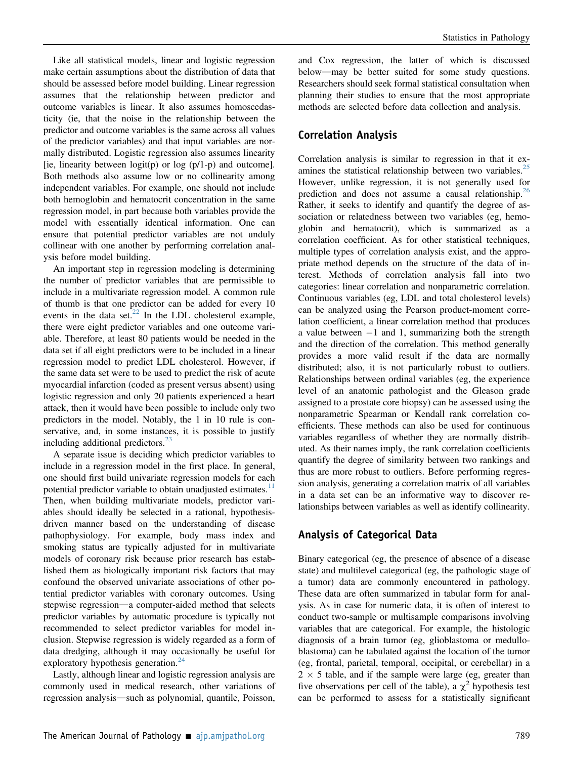Like all statistical models, linear and logistic regression make certain assumptions about the distribution of data that should be assessed before model building. Linear regression assumes that the relationship between predictor and outcome variables is linear. It also assumes homoscedasticity (ie, that the noise in the relationship between the predictor and outcome variables is the same across all values of the predictor variables) and that input variables are normally distributed. Logistic regression also assumes linearity [ie, linearity between  $logit(p)$  or  $log(p/1-p)$  and outcome]. Both methods also assume low or no collinearity among independent variables. For example, one should not include both hemoglobin and hematocrit concentration in the same regression model, in part because both variables provide the model with essentially identical information. One can ensure that potential predictor variables are not unduly collinear with one another by performing correlation analysis before model building.

An important step in regression modeling is determining the number of predictor variables that are permissible to include in a multivariate regression model. A common rule of thumb is that one predictor can be added for every 10 events in the data set. $^{22}$  $^{22}$  $^{22}$  In the LDL cholesterol example, there were eight predictor variables and one outcome variable. Therefore, at least 80 patients would be needed in the data set if all eight predictors were to be included in a linear regression model to predict LDL cholesterol. However, if the same data set were to be used to predict the risk of acute myocardial infarction (coded as present versus absent) using logistic regression and only 20 patients experienced a heart attack, then it would have been possible to include only two predictors in the model. Notably, the 1 in 10 rule is conservative, and, in some instances, it is possible to justify including additional predictors. $^{23}$  $^{23}$  $^{23}$ 

A separate issue is deciding which predictor variables to include in a regression model in the first place. In general, one should first build univariate regression models for each potential predictor variable to obtain unadjusted estimates.<sup>11</sup> Then, when building multivariate models, predictor variables should ideally be selected in a rational, hypothesisdriven manner based on the understanding of disease pathophysiology. For example, body mass index and smoking status are typically adjusted for in multivariate models of coronary risk because prior research has established them as biologically important risk factors that may confound the observed univariate associations of other potential predictor variables with coronary outcomes. Using stepwise regression—a computer-aided method that selects predictor variables by automatic procedure is typically not recommended to select predictor variables for model inclusion. Stepwise regression is widely regarded as a form of data dredging, although it may occasionally be useful for exploratory hypothesis generation. $^{24}$  $^{24}$  $^{24}$ 

Lastly, although linear and logistic regression analysis are commonly used in medical research, other variations of regression analysis—such as polynomial, quantile, Poisson, and Cox regression, the latter of which is discussed below—may be better suited for some study questions. Researchers should seek formal statistical consultation when planning their studies to ensure that the most appropriate methods are selected before data collection and analysis.

#### Correlation Analysis

Correlation analysis is similar to regression in that it ex-amines the statistical relationship between two variables.<sup>[25](#page-9-24)</sup> However, unlike regression, it is not generally used for prediction and does not assume a causal relationship.<sup>26</sup> Rather, it seeks to identify and quantify the degree of association or relatedness between two variables (eg, hemoglobin and hematocrit), which is summarized as a correlation coefficient. As for other statistical techniques, multiple types of correlation analysis exist, and the appropriate method depends on the structure of the data of interest. Methods of correlation analysis fall into two categories: linear correlation and nonparametric correlation. Continuous variables (eg, LDL and total cholesterol levels) can be analyzed using the Pearson product-moment correlation coefficient, a linear correlation method that produces a value between -1 and 1, summarizing both the strength and the direction of the correlation. This method generally provides a more valid result if the data are normally distributed; also, it is not particularly robust to outliers. Relationships between ordinal variables (eg, the experience level of an anatomic pathologist and the Gleason grade assigned to a prostate core biopsy) can be assessed using the nonparametric Spearman or Kendall rank correlation coefficients. These methods can also be used for continuous variables regardless of whether they are normally distributed. As their names imply, the rank correlation coefficients quantify the degree of similarity between two rankings and thus are more robust to outliers. Before performing regression analysis, generating a correlation matrix of all variables in a data set can be an informative way to discover relationships between variables as well as identify collinearity.

#### Analysis of Categorical Data

Binary categorical (eg, the presence of absence of a disease state) and multilevel categorical (eg, the pathologic stage of a tumor) data are commonly encountered in pathology. These data are often summarized in tabular form for analysis. As in case for numeric data, it is often of interest to conduct two-sample or multisample comparisons involving variables that are categorical. For example, the histologic diagnosis of a brain tumor (eg, glioblastoma or medulloblastoma) can be tabulated against the location of the tumor (eg, frontal, parietal, temporal, occipital, or cerebellar) in a  $2 \times 5$  table, and if the sample were large (eg, greater than five observations per cell of the table), a  $\chi^2$  hypothesis test can be performed to assess for a statistically significant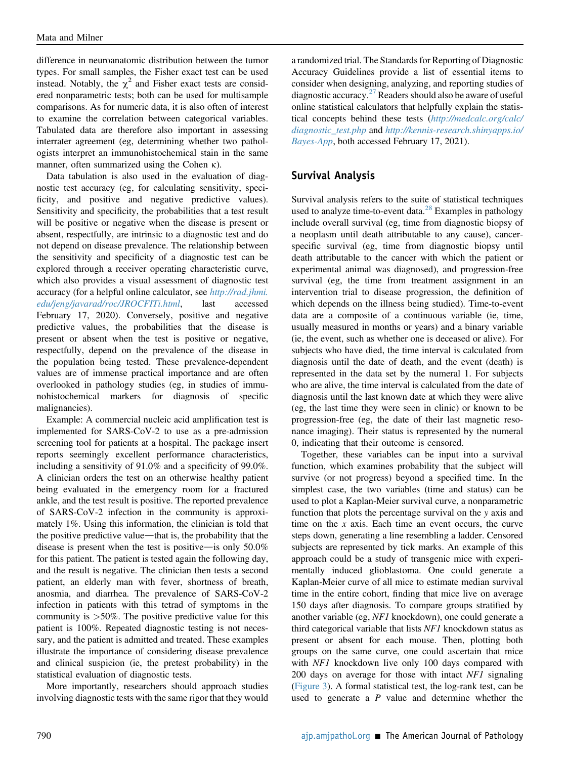difference in neuroanatomic distribution between the tumor types. For small samples, the Fisher exact test can be used instead. Notably, the  $\chi^2$  and Fisher exact tests are considered nonparametric tests; both can be used for multisample comparisons. As for numeric data, it is also often of interest to examine the correlation between categorical variables. Tabulated data are therefore also important in assessing interrater agreement (eg, determining whether two pathologists interpret an immunohistochemical stain in the same manner, often summarized using the Cohen  $\kappa$ ).

Data tabulation is also used in the evaluation of diagnostic test accuracy (eg, for calculating sensitivity, specificity, and positive and negative predictive values). Sensitivity and specificity, the probabilities that a test result will be positive or negative when the disease is present or absent, respectfully, are intrinsic to a diagnostic test and do not depend on disease prevalence. The relationship between the sensitivity and specificity of a diagnostic test can be explored through a receiver operating characteristic curve, which also provides a visual assessment of diagnostic test accuracy (for a helpful online calculator, see [http://rad.jhmi.](http://rad.jhmi.edu/jeng/javarad/roc/JROCFITi.html) [edu/jeng/javarad/roc/JROCFITi.html](http://rad.jhmi.edu/jeng/javarad/roc/JROCFITi.html), last accessed February 17, 2020). Conversely, positive and negative predictive values, the probabilities that the disease is present or absent when the test is positive or negative, respectfully, depend on the prevalence of the disease in the population being tested. These prevalence-dependent values are of immense practical importance and are often overlooked in pathology studies (eg, in studies of immunohistochemical markers for diagnosis of specific malignancies).

Example: A commercial nucleic acid amplification test is implemented for SARS-CoV-2 to use as a pre-admission screening tool for patients at a hospital. The package insert reports seemingly excellent performance characteristics, including a sensitivity of 91.0% and a specificity of 99.0%. A clinician orders the test on an otherwise healthy patient being evaluated in the emergency room for a fractured ankle, and the test result is positive. The reported prevalence of SARS-CoV-2 infection in the community is approximately 1%. Using this information, the clinician is told that the positive predictive value—that is, the probability that the disease is present when the test is positive—is only  $50.0\%$ for this patient. The patient is tested again the following day, and the result is negative. The clinician then tests a second patient, an elderly man with fever, shortness of breath, anosmia, and diarrhea. The prevalence of SARS-CoV-2 infection in patients with this tetrad of symptoms in the community is  $>50\%$ . The positive predictive value for this patient is 100%. Repeated diagnostic testing is not necessary, and the patient is admitted and treated. These examples illustrate the importance of considering disease prevalence and clinical suspicion (ie, the pretest probability) in the statistical evaluation of diagnostic tests.

More importantly, researchers should approach studies involving diagnostic tests with the same rigor that they would

a randomized trial. The Standards for Reporting of Diagnostic Accuracy Guidelines provide a list of essential items to consider when designing, analyzing, and reporting studies of diagnostic accuracy.<sup>[27](#page-9-26)</sup> Readers should also be aware of useful online statistical calculators that helpfully explain the statistical concepts behind these tests ([http://medcalc.org/calc/](http://medcalc.org/calc/diagnostic_test.php) [diagnostic\\_test.php](http://medcalc.org/calc/diagnostic_test.php) and [http://kennis-research.shinyapps.io/](http://kennis-research.shinyapps.io/Bayes-App) [Bayes-App](http://kennis-research.shinyapps.io/Bayes-App), both accessed February 17, 2021).

## Survival Analysis

Survival analysis refers to the suite of statistical techniques used to analyze time-to-event data. $^{28}$  $^{28}$  $^{28}$  Examples in pathology include overall survival (eg, time from diagnostic biopsy of a neoplasm until death attributable to any cause), cancerspecific survival (eg, time from diagnostic biopsy until death attributable to the cancer with which the patient or experimental animal was diagnosed), and progression-free survival (eg, the time from treatment assignment in an intervention trial to disease progression, the definition of which depends on the illness being studied). Time-to-event data are a composite of a continuous variable (ie, time, usually measured in months or years) and a binary variable (ie, the event, such as whether one is deceased or alive). For subjects who have died, the time interval is calculated from diagnosis until the date of death, and the event (death) is represented in the data set by the numeral 1. For subjects who are alive, the time interval is calculated from the date of diagnosis until the last known date at which they were alive (eg, the last time they were seen in clinic) or known to be progression-free (eg, the date of their last magnetic resonance imaging). Their status is represented by the numeral 0, indicating that their outcome is censored.

Together, these variables can be input into a survival function, which examines probability that the subject will survive (or not progress) beyond a specified time. In the simplest case, the two variables (time and status) can be used to plot a Kaplan-Meier survival curve, a nonparametric function that plots the percentage survival on the y axis and time on the  $x$  axis. Each time an event occurs, the curve steps down, generating a line resembling a ladder. Censored subjects are represented by tick marks. An example of this approach could be a study of transgenic mice with experimentally induced glioblastoma. One could generate a Kaplan-Meier curve of all mice to estimate median survival time in the entire cohort, finding that mice live on average 150 days after diagnosis. To compare groups stratified by another variable (eg, NF1 knockdown), one could generate a third categorical variable that lists NF1 knockdown status as present or absent for each mouse. Then, plotting both groups on the same curve, one could ascertain that mice with NF1 knockdown live only 100 days compared with 200 days on average for those with intact NF1 signaling [\(Figure 3\)](#page-7-0). A formal statistical test, the log-rank test, can be used to generate a  $P$  value and determine whether the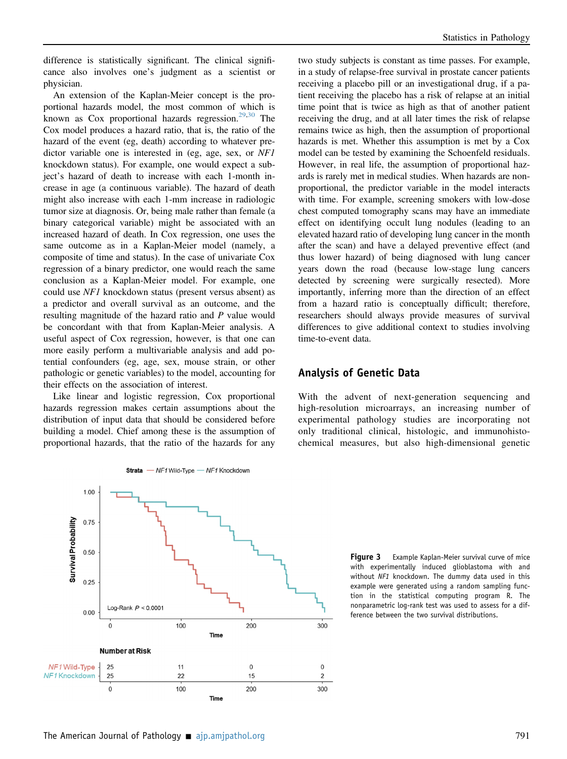difference is statistically significant. The clinical significance also involves one's judgment as a scientist or physician.

An extension of the Kaplan-Meier concept is the proportional hazards model, the most common of which is known as  $Cox$  proportional hazards regression.<sup>[29,](#page-9-28)[30](#page-9-29)</sup> The Cox model produces a hazard ratio, that is, the ratio of the hazard of the event (eg, death) according to whatever predictor variable one is interested in (eg, age, sex, or NF1) knockdown status). For example, one would expect a subject's hazard of death to increase with each 1-month increase in age (a continuous variable). The hazard of death might also increase with each 1-mm increase in radiologic tumor size at diagnosis. Or, being male rather than female (a binary categorical variable) might be associated with an increased hazard of death. In Cox regression, one uses the same outcome as in a Kaplan-Meier model (namely, a composite of time and status). In the case of univariate Cox regression of a binary predictor, one would reach the same conclusion as a Kaplan-Meier model. For example, one could use NF1 knockdown status (present versus absent) as a predictor and overall survival as an outcome, and the resulting magnitude of the hazard ratio and P value would be concordant with that from Kaplan-Meier analysis. A useful aspect of Cox regression, however, is that one can more easily perform a multivariable analysis and add potential confounders (eg, age, sex, mouse strain, or other pathologic or genetic variables) to the model, accounting for their effects on the association of interest.

Like linear and logistic regression, Cox proportional hazards regression makes certain assumptions about the distribution of input data that should be considered before building a model. Chief among these is the assumption of proportional hazards, that the ratio of the hazards for any

two study subjects is constant as time passes. For example, in a study of relapse-free survival in prostate cancer patients receiving a placebo pill or an investigational drug, if a patient receiving the placebo has a risk of relapse at an initial time point that is twice as high as that of another patient receiving the drug, and at all later times the risk of relapse remains twice as high, then the assumption of proportional hazards is met. Whether this assumption is met by a Cox model can be tested by examining the Schoenfeld residuals. However, in real life, the assumption of proportional hazards is rarely met in medical studies. When hazards are nonproportional, the predictor variable in the model interacts with time. For example, screening smokers with low-dose chest computed tomography scans may have an immediate effect on identifying occult lung nodules (leading to an elevated hazard ratio of developing lung cancer in the month after the scan) and have a delayed preventive effect (and thus lower hazard) of being diagnosed with lung cancer years down the road (because low-stage lung cancers detected by screening were surgically resected). More importantly, inferring more than the direction of an effect from a hazard ratio is conceptually difficult; therefore, researchers should always provide measures of survival differences to give additional context to studies involving time-to-event data.

#### Analysis of Genetic Data

With the advent of next-generation sequencing and high-resolution microarrays, an increasing number of experimental pathology studies are incorporating not only traditional clinical, histologic, and immunohistochemical measures, but also high-dimensional genetic

> Figure 3 Example Kaplan-Meier survival curve of mice with experimentally induced glioblastoma with and without NF1 knockdown. The dummy data used in this example were generated using a random sampling function in the statistical computing program R. The nonparametric log-rank test was used to assess for a difference between the two survival distributions.

<span id="page-7-0"></span>

Strata - NF1 Wild-Type - NF1 Knockdown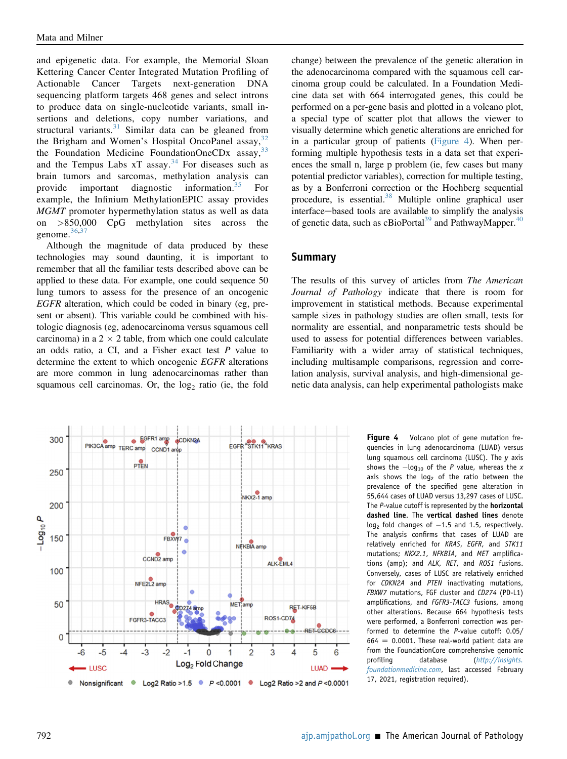and epigenetic data. For example, the Memorial Sloan Kettering Cancer Center Integrated Mutation Profiling of Actionable Cancer Targets next-generation DNA sequencing platform targets 468 genes and select introns to produce data on single-nucleotide variants, small insertions and deletions, copy number variations, and structural variants. $31$  Similar data can be gleaned from the Brigham and Women's Hospital OncoPanel assay,  $32$ the Foundation Medicine FoundationOneCDx assay, [33](#page-9-32) and the Tempus Labs  $xT$  assay.<sup>[34](#page-9-33)</sup> For diseases such as brain tumors and sarcomas, methylation analysis can provide important diagnostic information.[35](#page-9-34) For example, the Infinium MethylationEPIC assay provides MGMT promoter hypermethylation status as well as data on >850,000 CpG methylation sites across the genome.<sup>[36,](#page-9-35)[37](#page-9-36)</sup>

Although the magnitude of data produced by these technologies may sound daunting, it is important to remember that all the familiar tests described above can be applied to these data. For example, one could sequence 50 lung tumors to assess for the presence of an oncogenic EGFR alteration, which could be coded in binary (eg, present or absent). This variable could be combined with histologic diagnosis (eg, adenocarcinoma versus squamous cell carcinoma) in a  $2 \times 2$  table, from which one could calculate an odds ratio, a CI, and a Fisher exact test  $P$  value to determine the extent to which oncogenic EGFR alterations are more common in lung adenocarcinomas rather than squamous cell carcinomas. Or, the  $log<sub>2</sub>$  ratio (ie, the fold

<span id="page-8-0"></span>

change) between the prevalence of the genetic alteration in the adenocarcinoma compared with the squamous cell carcinoma group could be calculated. In a Foundation Medicine data set with 664 interrogated genes, this could be performed on a per-gene basis and plotted in a volcano plot, a special type of scatter plot that allows the viewer to visually determine which genetic alterations are enriched for in a particular group of patients ([Figure 4](#page-8-0)). When performing multiple hypothesis tests in a data set that experiences the small n, large p problem (ie, few cases but many potential predictor variables), correction for multiple testing, as by a Bonferroni correction or the Hochberg sequential procedure, is essential.[38](#page-10-0) Multiple online graphical user interface—based tools are available to simplify the analysis of genetic data, such as cBioPortal<sup>39</sup> and PathwayMapper.<sup>[40](#page-10-2)</sup>

#### Summary

The results of this survey of articles from The American Journal of Pathology indicate that there is room for improvement in statistical methods. Because experimental sample sizes in pathology studies are often small, tests for normality are essential, and nonparametric tests should be used to assess for potential differences between variables. Familiarity with a wider array of statistical techniques, including multisample comparisons, regression and correlation analysis, survival analysis, and high-dimensional genetic data analysis, can help experimental pathologists make

> Figure 4 Volcano plot of gene mutation frequencies in lung adenocarcinoma (LUAD) versus lung squamous cell carcinoma (LUSC). The y axis shows the  $-\log_{10}$  of the P value, whereas the x axis shows the  $log<sub>2</sub>$  of the ratio between the prevalence of the specified gene alteration in 55,644 cases of LUAD versus 13,297 cases of LUSC. The P-value cutoff is represented by the **horizontal** dashed line. The vertical dashed lines denote  $log<sub>2</sub>$  fold changes of  $-1.5$  and 1.5, respectively. The analysis confirms that cases of LUAD are relatively enriched for KRAS, EGFR, and STK11 mutations; NKX2.1, NFKBIA, and MET amplifications (amp); and ALK, RET, and ROS1 fusions. Conversely, cases of LUSC are relatively enriched for CDKN2A and PTEN inactivating mutations, FBXW7 mutations, FGF cluster and CD274 (PD-L1) amplifications, and FGFR3-TACC3 fusions, among other alterations. Because 664 hypothesis tests were performed, a Bonferroni correction was performed to determine the P-value cutoff: 0.05/  $664 = 0.0001$ . These real-world patient data are from the FoundationCore comprehensive genomic profiling database ([http://insights.](http://insights.foundationmedicine.com) [foundationmedicine.com](http://insights.foundationmedicine.com), last accessed February 17, 2021, registration required).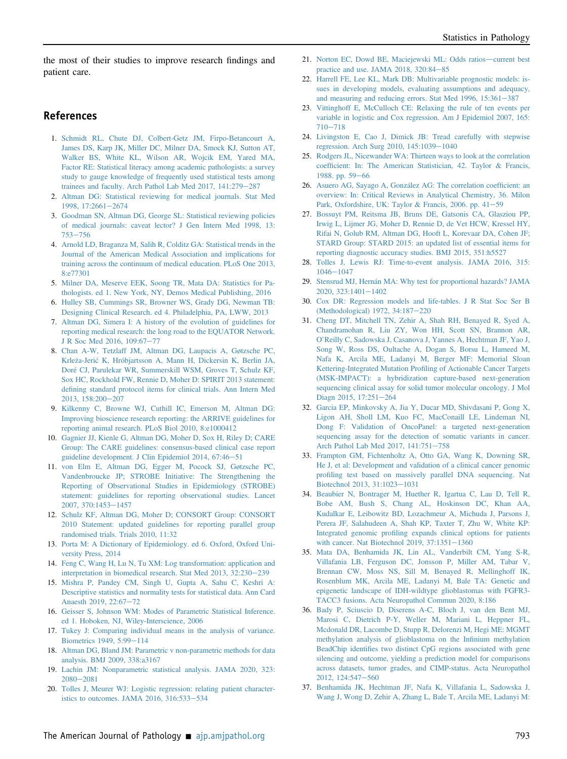the most of their studies to improve research findings and patient care.

#### <span id="page-9-0"></span>References

- 1. [Schmidt RL, Chute DJ, Colbert-Getz JM, Firpo-Betancourt A,](http://refhub.elsevier.com/S0002-9440(21)00076-6/sref1) [James DS, Karp JK, Miller DC, Milner DA, Smock KJ, Sutton AT,](http://refhub.elsevier.com/S0002-9440(21)00076-6/sref1) [Walker BS, White KL, Wilson AR, Wojcik EM, Yared MA,](http://refhub.elsevier.com/S0002-9440(21)00076-6/sref1) [Factor RE: Statistical literacy among academic pathologists: a survey](http://refhub.elsevier.com/S0002-9440(21)00076-6/sref1) [study to gauge knowledge of frequently used statistical tests among](http://refhub.elsevier.com/S0002-9440(21)00076-6/sref1) [trainees and faculty. Arch Pathol Lab Med 2017, 141:279](http://refhub.elsevier.com/S0002-9440(21)00076-6/sref1)-[287](http://refhub.elsevier.com/S0002-9440(21)00076-6/sref1)
- <span id="page-9-2"></span><span id="page-9-1"></span>2. [Altman DG: Statistical reviewing for medical journals. Stat Med](http://refhub.elsevier.com/S0002-9440(21)00076-6/sref2) [1998, 17:2661](http://refhub.elsevier.com/S0002-9440(21)00076-6/sref2)-[2674](http://refhub.elsevier.com/S0002-9440(21)00076-6/sref2)
- <span id="page-9-3"></span>3. [Goodman SN, Altman DG, George SL: Statistical reviewing policies](http://refhub.elsevier.com/S0002-9440(21)00076-6/sref3) [of medical journals: caveat lector? J Gen Intern Med 1998, 13:](http://refhub.elsevier.com/S0002-9440(21)00076-6/sref3)  $753 - 756$  $753 - 756$  $753 - 756$
- <span id="page-9-4"></span>4. [Arnold LD, Braganza M, Salih R, Colditz GA: Statistical trends in the](http://refhub.elsevier.com/S0002-9440(21)00076-6/sref4) [Journal of the American Medical Association and implications for](http://refhub.elsevier.com/S0002-9440(21)00076-6/sref4) [training across the continuum of medical education. PLoS One 2013,](http://refhub.elsevier.com/S0002-9440(21)00076-6/sref4) [8:e77301](http://refhub.elsevier.com/S0002-9440(21)00076-6/sref4)
- <span id="page-9-5"></span>5. [Milner DA, Meserve EEK, Soong TR, Mata DA: Statistics for Pa](http://refhub.elsevier.com/S0002-9440(21)00076-6/sref5)[thologists. ed 1. New York, NY, Demos Medical Publishing, 2016](http://refhub.elsevier.com/S0002-9440(21)00076-6/sref5)
- <span id="page-9-6"></span>6. [Hulley SB, Cummings SR, Browner WS, Grady DG, Newman TB:](http://refhub.elsevier.com/S0002-9440(21)00076-6/sref6) [Designing Clinical Research. ed 4. Philadelphia, PA, LWW, 2013](http://refhub.elsevier.com/S0002-9440(21)00076-6/sref6)
- <span id="page-9-7"></span>7. [Altman DG, Simera I: A history of the evolution of guidelines for](http://refhub.elsevier.com/S0002-9440(21)00076-6/sref7) [reporting medical research: the long road to the EQUATOR Network.](http://refhub.elsevier.com/S0002-9440(21)00076-6/sref7) [J R Soc Med 2016, 109:67](http://refhub.elsevier.com/S0002-9440(21)00076-6/sref7)-[77](http://refhub.elsevier.com/S0002-9440(21)00076-6/sref7)
- 8. [Chan A-W, Tetzlaff JM, Altman DG, Laupacis A, Gøtzsche PC,](http://refhub.elsevier.com/S0002-9440(21)00076-6/sref8) [Krle](http://refhub.elsevier.com/S0002-9440(21)00076-6/sref8)z[a-Jeri](http://refhub.elsevier.com/S0002-9440(21)00076-6/sref8)c [K, Hróbjartsson A, Mann H, Dickersin K, Berlin JA,](http://refhub.elsevier.com/S0002-9440(21)00076-6/sref8) [Doré CJ, Parulekar WR, Summerskill WSM, Groves T, Schulz KF,](http://refhub.elsevier.com/S0002-9440(21)00076-6/sref8) [Sox HC, Rockhold FW, Rennie D, Moher D: SPIRIT 2013 statement:](http://refhub.elsevier.com/S0002-9440(21)00076-6/sref8) defi[ning standard protocol items for clinical trials. Ann Intern Med](http://refhub.elsevier.com/S0002-9440(21)00076-6/sref8) [2013, 158:200](http://refhub.elsevier.com/S0002-9440(21)00076-6/sref8)-[207](http://refhub.elsevier.com/S0002-9440(21)00076-6/sref8)
- <span id="page-9-9"></span><span id="page-9-8"></span>9. [Kilkenny C, Browne WJ, Cuthill IC, Emerson M, Altman DG:](http://refhub.elsevier.com/S0002-9440(21)00076-6/sref9) [Improving bioscience research reporting: the ARRIVE guidelines for](http://refhub.elsevier.com/S0002-9440(21)00076-6/sref9) [reporting animal research. PLoS Biol 2010, 8:e1000412](http://refhub.elsevier.com/S0002-9440(21)00076-6/sref9)
- <span id="page-9-10"></span>10. [Gagnier JJ, Kienle G, Altman DG, Moher D, Sox H, Riley D; CARE](http://refhub.elsevier.com/S0002-9440(21)00076-6/sref10) [Group: The CARE guidelines: consensus-based clinical case report](http://refhub.elsevier.com/S0002-9440(21)00076-6/sref10) [guideline development. J Clin Epidemiol 2014, 67:46](http://refhub.elsevier.com/S0002-9440(21)00076-6/sref10)-[51](http://refhub.elsevier.com/S0002-9440(21)00076-6/sref10)
- 11. [von Elm E, Altman DG, Egger M, Pocock SJ, Gøtzsche PC,](http://refhub.elsevier.com/S0002-9440(21)00076-6/sref11) [Vandenbroucke JP; STROBE Initiative: The Strengthening the](http://refhub.elsevier.com/S0002-9440(21)00076-6/sref11) [Reporting of Observational Studies in Epidemiology \(STROBE\)](http://refhub.elsevier.com/S0002-9440(21)00076-6/sref11) [statement: guidelines for reporting observational studies. Lancet](http://refhub.elsevier.com/S0002-9440(21)00076-6/sref11) [2007, 370:1453](http://refhub.elsevier.com/S0002-9440(21)00076-6/sref11)-[1457](http://refhub.elsevier.com/S0002-9440(21)00076-6/sref11)
- <span id="page-9-12"></span><span id="page-9-11"></span>12. [Schulz KF, Altman DG, Moher D; CONSORT Group: CONSORT](http://refhub.elsevier.com/S0002-9440(21)00076-6/sref12) [2010 Statement: updated guidelines for reporting parallel group](http://refhub.elsevier.com/S0002-9440(21)00076-6/sref12) [randomised trials. Trials 2010, 11:32](http://refhub.elsevier.com/S0002-9440(21)00076-6/sref12)
- <span id="page-9-13"></span>13. [Porta M: A Dictionary of Epidemiology. ed 6. Oxford, Oxford Uni](http://refhub.elsevier.com/S0002-9440(21)00076-6/sref13)[versity Press, 2014](http://refhub.elsevier.com/S0002-9440(21)00076-6/sref13)
- <span id="page-9-14"></span>14. [Feng C, Wang H, Lu N, Tu XM: Log transformation: application and](http://refhub.elsevier.com/S0002-9440(21)00076-6/sref14) [interpretation in biomedical research. Stat Med 2013, 32:230](http://refhub.elsevier.com/S0002-9440(21)00076-6/sref14)-[239](http://refhub.elsevier.com/S0002-9440(21)00076-6/sref14)
- <span id="page-9-15"></span>15. [Mishra P, Pandey CM, Singh U, Gupta A, Sahu C, Keshri A:](http://refhub.elsevier.com/S0002-9440(21)00076-6/sref15) [Descriptive statistics and normality tests for statistical data. Ann Card](http://refhub.elsevier.com/S0002-9440(21)00076-6/sref15) [Anaesth 2019, 22:67](http://refhub.elsevier.com/S0002-9440(21)00076-6/sref15)-[72](http://refhub.elsevier.com/S0002-9440(21)00076-6/sref15)
- <span id="page-9-16"></span>16. [Geisser S, Johnson WM: Modes of Parametric Statistical Inference.](http://refhub.elsevier.com/S0002-9440(21)00076-6/sref16) [ed 1. Hoboken, NJ, Wiley-Interscience, 2006](http://refhub.elsevier.com/S0002-9440(21)00076-6/sref16)
- <span id="page-9-17"></span>17. [Tukey J: Comparing individual means in the analysis of variance.](http://refhub.elsevier.com/S0002-9440(21)00076-6/sref17) [Biometrics 1949, 5:99](http://refhub.elsevier.com/S0002-9440(21)00076-6/sref17)-[114](http://refhub.elsevier.com/S0002-9440(21)00076-6/sref17)
- <span id="page-9-18"></span>18. [Altman DG, Bland JM: Parametric v non-parametric methods for data](http://refhub.elsevier.com/S0002-9440(21)00076-6/sref18) [analysis. BMJ 2009, 338:a3167](http://refhub.elsevier.com/S0002-9440(21)00076-6/sref18)
- <span id="page-9-19"></span>19. [Lachin JM: Nonparametric statistical analysis. JAMA 2020, 323:](http://refhub.elsevier.com/S0002-9440(21)00076-6/sref19)  $2080 - 2081$  $2080 - 2081$  $2080 - 2081$
- 20. [Tolles J, Meurer WJ: Logistic regression: relating patient character](http://refhub.elsevier.com/S0002-9440(21)00076-6/sref20)istics to outcomes. JAMA  $2016$ ,  $316:533-534$  $316:533-534$
- <span id="page-9-20"></span>21. [Norton EC, Dowd BE, Maciejewski ML: Odds ratios](http://refhub.elsevier.com/S0002-9440(21)00076-6/sref21)-[current best](http://refhub.elsevier.com/S0002-9440(21)00076-6/sref21) practice and use. JAMA 2018,  $320:84-85$  $320:84-85$
- <span id="page-9-21"></span>22. [Harrell FE, Lee KL, Mark DB: Multivariable prognostic models: is](http://refhub.elsevier.com/S0002-9440(21)00076-6/sref22)[sues in developing models, evaluating assumptions and adequacy,](http://refhub.elsevier.com/S0002-9440(21)00076-6/sref22) and measuring and reducing errors. Stat Med  $1996$ ,  $15:361-387$  $15:361-387$
- <span id="page-9-22"></span>23. [Vittinghoff E, McCulloch CE: Relaxing the rule of ten events per](http://refhub.elsevier.com/S0002-9440(21)00076-6/sref23) [variable in logistic and Cox regression. Am J Epidemiol 2007, 165:](http://refhub.elsevier.com/S0002-9440(21)00076-6/sref23)  $710 - 718$  $710 - 718$  $710 - 718$
- <span id="page-9-23"></span>24. [Livingston E, Cao J, Dimick JB: Tread carefully with stepwise](http://refhub.elsevier.com/S0002-9440(21)00076-6/sref24) [regression. Arch Surg 2010, 145:1039](http://refhub.elsevier.com/S0002-9440(21)00076-6/sref24)-[1040](http://refhub.elsevier.com/S0002-9440(21)00076-6/sref24)
- <span id="page-9-24"></span>25. [Rodgers JL, Nicewander WA: Thirteen ways to look at the correlation](http://refhub.elsevier.com/S0002-9440(21)00076-6/sref25) coeffi[cient: In: The American Statistician, 42. Taylor & Francis,](http://refhub.elsevier.com/S0002-9440(21)00076-6/sref25) [1988. pp. 59](http://refhub.elsevier.com/S0002-9440(21)00076-6/sref25)-[66](http://refhub.elsevier.com/S0002-9440(21)00076-6/sref25)
- <span id="page-9-25"></span>26. [Asuero AG, Sayago A, González AG: The correlation coef](http://refhub.elsevier.com/S0002-9440(21)00076-6/sref26)ficient: an [overview: In: Critical Reviews in Analytical Chemistry, 36. Milon](http://refhub.elsevier.com/S0002-9440(21)00076-6/sref26) [Park, Oxfordshire, UK: Taylor & Francis, 2006. pp. 41](http://refhub.elsevier.com/S0002-9440(21)00076-6/sref26)-[59](http://refhub.elsevier.com/S0002-9440(21)00076-6/sref26)
- <span id="page-9-26"></span>27. [Bossuyt PM, Reitsma JB, Bruns DE, Gatsonis CA, Glasziou PP,](http://refhub.elsevier.com/S0002-9440(21)00076-6/sref27) [Irwig L, Lijmer JG, Moher D, Rennie D, de Vet HCW, Kressel HY,](http://refhub.elsevier.com/S0002-9440(21)00076-6/sref27) [Rifai N, Golub RM, Altman DG, Hooft L, Korevaar DA, Cohen JF;](http://refhub.elsevier.com/S0002-9440(21)00076-6/sref27) [STARD Group: STARD 2015: an updated list of essential items for](http://refhub.elsevier.com/S0002-9440(21)00076-6/sref27) [reporting diagnostic accuracy studies. BMJ 2015, 351:h5527](http://refhub.elsevier.com/S0002-9440(21)00076-6/sref27)
- <span id="page-9-27"></span>28. [Tolles J, Lewis RJ: Time-to-event analysis. JAMA 2016, 315:](http://refhub.elsevier.com/S0002-9440(21)00076-6/sref28)  $1046 - 1047$  $1046 - 1047$  $1046 - 1047$
- <span id="page-9-28"></span>29. [Stensrud MJ, Hernán MA: Why test for proportional hazards? JAMA](http://refhub.elsevier.com/S0002-9440(21)00076-6/sref29)  $2020, 323:1401 - 1402$  $2020, 323:1401 - 1402$  $2020, 323:1401 - 1402$
- <span id="page-9-29"></span>30. [Cox DR: Regression models and life-tables. J R Stat Soc Ser B](http://refhub.elsevier.com/S0002-9440(21)00076-6/sref30) [\(Methodological\) 1972, 34:187](http://refhub.elsevier.com/S0002-9440(21)00076-6/sref30)-[220](http://refhub.elsevier.com/S0002-9440(21)00076-6/sref30)
- <span id="page-9-30"></span>31. [Cheng DT, Mitchell TN, Zehir A, Shah RH, Benayed R, Syed A,](http://refhub.elsevier.com/S0002-9440(21)00076-6/sref31) [Chandramohan R, Liu ZY, Won HH, Scott SN, Brannon AR,](http://refhub.elsevier.com/S0002-9440(21)00076-6/sref31) O'[Reilly C, Sadowska J, Casanova J, Yannes A, Hechtman JF, Yao J,](http://refhub.elsevier.com/S0002-9440(21)00076-6/sref31) [Song W, Ross DS, Oultache A, Dogan S, Borsu L, Hameed M,](http://refhub.elsevier.com/S0002-9440(21)00076-6/sref31) [Nafa K, Arcila ME, Ladanyi M, Berger MF: Memorial Sloan](http://refhub.elsevier.com/S0002-9440(21)00076-6/sref31) Kettering-Integrated Mutation Profi[ling of Actionable Cancer Targets](http://refhub.elsevier.com/S0002-9440(21)00076-6/sref31) [\(MSK-IMPACT\): a hybridization capture-based next-generation](http://refhub.elsevier.com/S0002-9440(21)00076-6/sref31) [sequencing clinical assay for solid tumor molecular oncology. J Mol](http://refhub.elsevier.com/S0002-9440(21)00076-6/sref31) [Diagn 2015, 17:251](http://refhub.elsevier.com/S0002-9440(21)00076-6/sref31)-[264](http://refhub.elsevier.com/S0002-9440(21)00076-6/sref31)
- <span id="page-9-31"></span>32. [Garcia EP, Minkovsky A, Jia Y, Ducar MD, Shivdasani P, Gong X,](http://refhub.elsevier.com/S0002-9440(21)00076-6/sref32) [Ligon AH, Sholl LM, Kuo FC, MacConaill LE, Lindeman NI,](http://refhub.elsevier.com/S0002-9440(21)00076-6/sref32) [Dong F: Validation of OncoPanel: a targeted next-generation](http://refhub.elsevier.com/S0002-9440(21)00076-6/sref32) [sequencing assay for the detection of somatic variants in cancer.](http://refhub.elsevier.com/S0002-9440(21)00076-6/sref32) [Arch Pathol Lab Med 2017, 141:751](http://refhub.elsevier.com/S0002-9440(21)00076-6/sref32)-[758](http://refhub.elsevier.com/S0002-9440(21)00076-6/sref32)
- <span id="page-9-32"></span>33. [Frampton GM, Fichtenholtz A, Otto GA, Wang K, Downing SR,](http://refhub.elsevier.com/S0002-9440(21)00076-6/sref33) [He J, et al: Development and validation of a clinical cancer genomic](http://refhub.elsevier.com/S0002-9440(21)00076-6/sref33) profi[ling test based on massively parallel DNA sequencing. Nat](http://refhub.elsevier.com/S0002-9440(21)00076-6/sref33) [Biotechnol 2013, 31:1023](http://refhub.elsevier.com/S0002-9440(21)00076-6/sref33)-[1031](http://refhub.elsevier.com/S0002-9440(21)00076-6/sref33)
- <span id="page-9-33"></span>34. [Beaubier N, Bontrager M, Huether R, Igartua C, Lau D, Tell R,](http://refhub.elsevier.com/S0002-9440(21)00076-6/sref34) [Bobe AM, Bush S, Chang AL, Hoskinson DC, Khan AA,](http://refhub.elsevier.com/S0002-9440(21)00076-6/sref34) [Kudalkar E, Leibowitz BD, Lozachmeur A, Michuda J, Parsons J,](http://refhub.elsevier.com/S0002-9440(21)00076-6/sref34) [Perera JF, Salahudeen A, Shah KP, Taxter T, Zhu W, White KP:](http://refhub.elsevier.com/S0002-9440(21)00076-6/sref34) Integrated genomic profi[ling expands clinical options for patients](http://refhub.elsevier.com/S0002-9440(21)00076-6/sref34) with cancer. Nat Biotechnol 2019,  $37:1351-1360$  $37:1351-1360$
- <span id="page-9-34"></span>35. [Mata DA, Benhamida JK, Lin AL, Vanderbilt CM, Yang S-R,](http://refhub.elsevier.com/S0002-9440(21)00076-6/sref35) [Villafania LB, Ferguson DC, Jonsson P, Miller AM, Tabar V,](http://refhub.elsevier.com/S0002-9440(21)00076-6/sref35) [Brennan CW, Moss NS, Sill M, Benayed R, Mellinghoff IK,](http://refhub.elsevier.com/S0002-9440(21)00076-6/sref35) [Rosenblum MK, Arcila ME, Ladanyi M, Bale TA: Genetic and](http://refhub.elsevier.com/S0002-9440(21)00076-6/sref35) [epigenetic landscape of IDH-wildtype glioblastomas with FGFR3-](http://refhub.elsevier.com/S0002-9440(21)00076-6/sref35) [TACC3 fusions. Acta Neuropathol Commun 2020, 8:186](http://refhub.elsevier.com/S0002-9440(21)00076-6/sref35)
- <span id="page-9-35"></span>36. [Bady P, Sciuscio D, Diserens A-C, Bloch J, van den Bent MJ,](http://refhub.elsevier.com/S0002-9440(21)00076-6/sref36) [Marosi C, Dietrich P-Y, Weller M, Mariani L, Heppner FL,](http://refhub.elsevier.com/S0002-9440(21)00076-6/sref36) [Mcdonald DR, Lacombe D, Stupp R, Delorenzi M, Hegi ME: MGMT](http://refhub.elsevier.com/S0002-9440(21)00076-6/sref36) [methylation analysis of glioblastoma on the In](http://refhub.elsevier.com/S0002-9440(21)00076-6/sref36)finium methylation BeadChip identifi[es two distinct CpG regions associated with gene](http://refhub.elsevier.com/S0002-9440(21)00076-6/sref36) [silencing and outcome, yielding a prediction model for comparisons](http://refhub.elsevier.com/S0002-9440(21)00076-6/sref36) [across datasets, tumor grades, and CIMP-status. Acta Neuropathol](http://refhub.elsevier.com/S0002-9440(21)00076-6/sref36) [2012, 124:547](http://refhub.elsevier.com/S0002-9440(21)00076-6/sref36)-[560](http://refhub.elsevier.com/S0002-9440(21)00076-6/sref36)
- <span id="page-9-36"></span>37. [Benhamida JK, Hechtman JF, Nafa K, Villafania L, Sadowska J,](http://refhub.elsevier.com/S0002-9440(21)00076-6/sref37) [Wang J, Wong D, Zehir A, Zhang L, Bale T, Arcila ME, Ladanyi M:](http://refhub.elsevier.com/S0002-9440(21)00076-6/sref37)